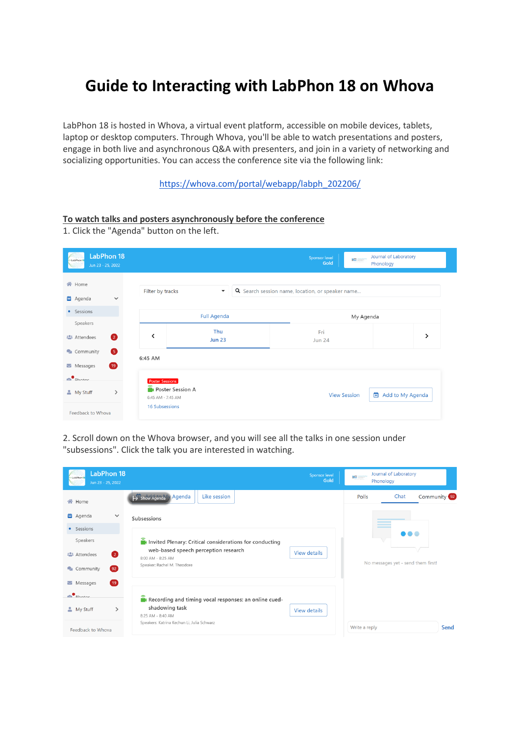## **Guide to Interacting with LabPhon 18 on Whova**

LabPhon 18 is hosted in Whova, a virtual event platform, accessible on mobile devices, tablets, laptop or desktop computers. Through Whova, you'll be able to watch presentations and posters, engage in both live and asynchronous Q&A with presenters, and join in a variety of networking and socializing opportunities. You can access the conference site via the following link:

[https://whova.com/portal/webapp/labph\\_202206/](https://whova.com/portal/webapp/labph_202206/)

## **To watch talks and posters asynchronously before the conference**

1. Click the "Agenda" button on the left.

| <b>LabPhon 18</b><br>LabPhon18<br>Jun 23 - 25, 2022 |                                                |                          | Sponsor level<br><b>LOPES</b> <i>incomplexing</i><br>Gold | Journal of Laboratory<br>Phonology |
|-----------------------------------------------------|------------------------------------------------|--------------------------|-----------------------------------------------------------|------------------------------------|
| 合 Home<br><b>台</b> Agenda<br>$\checkmark$           | Filter by tracks                               | $\overline{\phantom{a}}$ | <b>Q</b> Search session name, location, or speaker name   |                                    |
| • Sessions                                          |                                                | <b>Full Agenda</b>       | My Agenda                                                 |                                    |
| Speakers                                            |                                                |                          |                                                           |                                    |
| $\bullet$<br><b>2</b> Attendees                     | ≺                                              | Thu<br><b>Jun 23</b>     | Fri<br><b>Jun 24</b>                                      | $\mathcal{P}$                      |
| 6<br>Community                                      | 6:45 AM                                        |                          |                                                           |                                    |
| (19)<br>$\blacktriangleright$ Messages              |                                                |                          |                                                           |                                    |
| <b>Dhotoc</b>                                       | <b>Poster Sessions</b>                         |                          |                                                           |                                    |
| My Stuff<br>↘                                       | <b>C</b> Poster Session A<br>6:45 AM - 7:45 AM |                          | <b>View Session</b>                                       | 曲<br>Add to My Agenda              |
| Feedback to Whova                                   | <b>16 Subsessions</b>                          |                          |                                                           |                                    |

2. Scroll down on the Whova browser, and you will see all the talks in one session under "subsessions". Click the talk you are interested in watching.

| LabPhon 18<br>-LabPhon <sub>II</sub><br>Jun 23 - 25, 2022        |                                                                                                                                                                                       | <b>Sponsor level</b><br>Gold | <b>MAG</b> Internet<br>Phonology | Journal of Laboratory                   |                         |
|------------------------------------------------------------------|---------------------------------------------------------------------------------------------------------------------------------------------------------------------------------------|------------------------------|----------------------------------|-----------------------------------------|-------------------------|
| <b>谷</b> Home                                                    | Show Agenda V Agenda<br>Like session                                                                                                                                                  |                              | Polls                            | Chat                                    | Community <sup>92</sup> |
| <b>■</b> Agenda<br>$\checkmark$<br>Sessions<br>٠                 | Subsessions                                                                                                                                                                           |                              |                                  |                                         |                         |
| Speakers<br>2<br>:" Attendees<br>$\left( 92\right)$<br>Community | <b>Relatively</b> Invited Plenary: Critical considerations for conducting<br>web-based speech perception research<br>View details<br>8:00 AM - 8:25 AM<br>Speaker: Rachel M. Theodore |                              |                                  | .<br>No messages yet - send them first! |                         |
| $\overline{19}$<br>$\blacksquare$ Messages<br><b>Dhotoc</b>      | Recording and timing vocal responses: an online cued-<br>shadowing task                                                                                                               |                              |                                  |                                         |                         |
| My Stuff<br>$\rightarrow$<br>Feedback to Whova                   | View details<br>8:25 AM - 8:40 AM<br>Speakers: Katrina Kechun Li, Julia Schwarz                                                                                                       |                              | Write a reply                    |                                         | Send                    |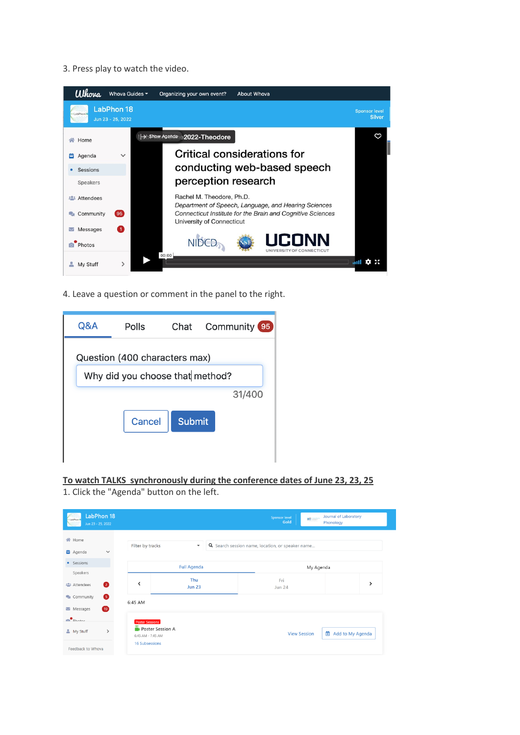3. Press play to watch the video.



4. Leave a question or comment in the panel to the right.

| Q&A | Polls                           | Chat          | Community<br>95 |
|-----|---------------------------------|---------------|-----------------|
|     | Question (400 characters max)   |               |                 |
|     | Why did you choose that method? |               |                 |
|     |                                 |               | 31/400          |
|     | Cancel                          | <b>Submit</b> |                 |
|     |                                 |               |                 |

**To watch TALKS synchronously during the conference dates of June 23, 23, 25** 1. Click the "Agenda" button on the left.

| LabPhon II<br>Jun 23 - 25, 2022 | <b>LabPhon 18</b>                  |                                       |                      | <b>Sponsor level</b><br>Gold                     | <b>SOFTEN CONSUMER</b> | Journal of Laboratory<br>Phonology |   |
|---------------------------------|------------------------------------|---------------------------------------|----------------------|--------------------------------------------------|------------------------|------------------------------------|---|
| 备 Home<br><b>台</b> Agenda       | $\checkmark$                       | Filter by tracks                      | $\checkmark$         | Q Search session name, location, or speaker name |                        |                                    |   |
| · Sessions<br>Speakers          |                                    |                                       | <b>Full Agenda</b>   |                                                  | My Agenda              |                                    |   |
| : <sup>0</sup> : Attendees      | $\bullet$                          | ≺                                     | Thu<br><b>Jun 23</b> | Fri<br><b>Jun 24</b>                             |                        |                                    | > |
| Community<br>Messages           | 6<br>$\left( \frac{19}{2} \right)$ | 6:45 AM                               |                      |                                                  |                        |                                    |   |
| <b>Dhotoc</b>                   |                                    | <b>Poster Sessions</b>                |                      |                                                  |                        |                                    |   |
| & My Stuff                      |                                    | Poster Session A<br>6:45 AM - 7:45 AM |                      |                                                  | <b>View Session</b>    | 曲<br>Add to My Agenda              |   |
| Feedback to Whova               |                                    | <b>16 Subsessions</b>                 |                      |                                                  |                        |                                    |   |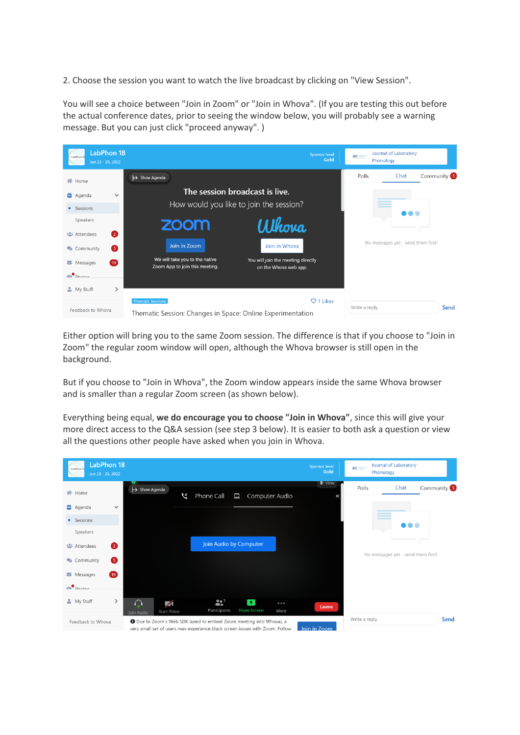2. Choose the session you want to watch the live broadcast by clicking on "View Session".

You will see a choice between "Join in Zoom" or "Join in Whova". (If you are testing this out before the actual conference dates, prior to seeing the window below, you will probably see a warning message. But you can just click "proceed anyway". )



Either option will bring you to the same Zoom session. The difference is that if you choose to "Join in Zoom" the regular zoom window will open, although the Whova browser is still open in the background.

But if you choose to "Join in Whova", the Zoom window appears inside the same Whova browser and is smaller than a regular Zoom screen (as shown below).

Everything being equal, **we do encourage you to choose "Join in Whova"**, since this will give your more direct access to the Q&A session (see step 3 below). It is easier to both ask a question or view all the questions other people have asked when you join in Whova.

| LabPhon 18<br><b>I-LabPhon18</b><br>Jun 23 - 25, 2022   |                                                 |                                                                                                                                                           | Sponsor level<br>Gold | <b>STORY International</b><br>Phonology | <b>Journal of Laboratory</b>       |
|---------------------------------------------------------|-------------------------------------------------|-----------------------------------------------------------------------------------------------------------------------------------------------------------|-----------------------|-----------------------------------------|------------------------------------|
| 合 Home                                                  | $\mapsto$ Show Agenda<br>ممة                    | Phone Call<br>Computer Audio<br>ł                                                                                                                         | <b>1</b> View         | Polls                                   | Chat<br>Community <sup>5</sup>     |
| <b>台</b> Agenda<br>$\checkmark$                         |                                                 |                                                                                                                                                           |                       |                                         |                                    |
| Sessions<br>$\bullet$                                   |                                                 |                                                                                                                                                           |                       |                                         |                                    |
| Speakers                                                |                                                 |                                                                                                                                                           |                       |                                         |                                    |
| 2<br><b>Attendees</b>                                   |                                                 | Join Audio by Computer                                                                                                                                    |                       |                                         |                                    |
| G<br>Community                                          |                                                 |                                                                                                                                                           |                       |                                         | No messages yet - send them first! |
| $\left( \frac{1}{2} \right)$<br>$\blacksquare$ Messages |                                                 |                                                                                                                                                           |                       |                                         |                                    |
| <b>Dhotos</b>                                           |                                                 |                                                                                                                                                           |                       |                                         |                                    |
| $\rightarrow$<br>My Stuff                               | ∩<br>$\mathscr{N}$<br>Start Video<br>Join Audio | $22^7$<br>$\mathbf{r}$<br>$\cdots$<br>Participants<br><b>Share Screen</b><br>More                                                                         | Leave                 |                                         |                                    |
| Feedback to Whova                                       |                                                 | <b>O</b> Due to Zoom's Web SDK (used to embed Zoom meeting into Whova), a<br>very small set of users may experience black screen issues with Zoom. Follow | Join in Zoom          | Write a reply                           | Send                               |